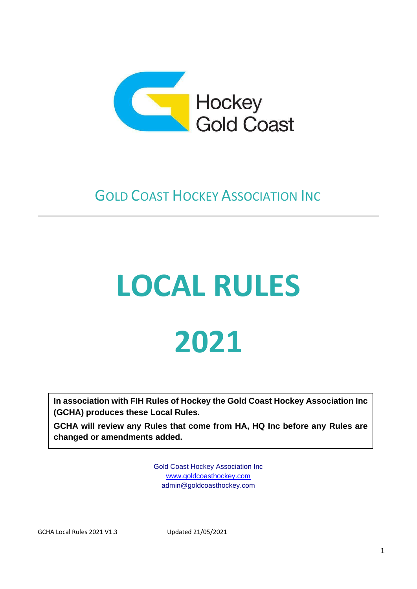

### **GOLD COAST HOCKEY ASSOCIATION INC**

### **LOCAL RULES 2021**

**In association with FIH Rules of Hockey the Gold Coast Hockey Association Inc (GCHA) produces these Local Rules.** 

**GCHA will review any Rules that come from HA, HQ Inc before any Rules are changed or amendments added.**

> Gold Coast Hockey Association Inc [www.goldcoasthockey.com](http://www.goldcoasthockey.com/) [admin@goldcoasthockey.com](mailto:admin@goldcoasthockey.com)

GCHA Local Rules 2021 V1.3 Updated 21/05/2021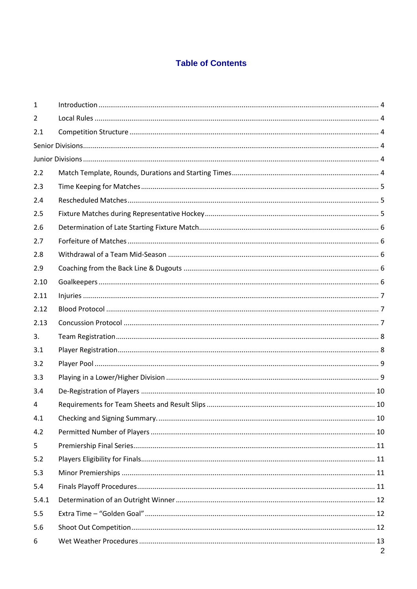### **Table of Contents**

| 1     |                |
|-------|----------------|
| 2     |                |
| 2.1   |                |
|       |                |
|       |                |
| 2.2   |                |
| 2.3   |                |
| 2.4   |                |
| 2.5   |                |
| 2.6   |                |
| 2.7   |                |
| 2.8   |                |
| 2.9   |                |
| 2.10  |                |
| 2.11  |                |
| 2.12  |                |
| 2.13  |                |
| 3.    |                |
| 3.1   |                |
| 3.2   |                |
| 3.3   |                |
| 3.4   |                |
| 4     |                |
| 4.1   |                |
| 4.2   |                |
| 5     |                |
| 5.2   |                |
| 5.3   |                |
| 5.4   |                |
| 5.4.1 |                |
| 5.5   |                |
| 5.6   |                |
| 6     | $\overline{2}$ |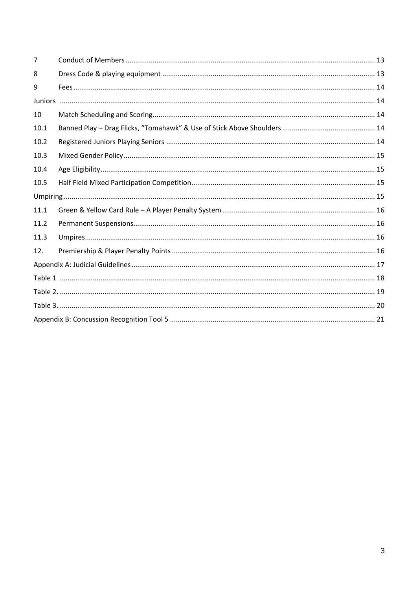| $\overline{7}$ |  |
|----------------|--|
| 8              |  |
| 9              |  |
|                |  |
| 10             |  |
| 10.1           |  |
| 10.2           |  |
| 10.3           |  |
| 10.4           |  |
| 10.5           |  |
|                |  |
| 11.1           |  |
| 11.2           |  |
| 11.3           |  |
| 12.            |  |
|                |  |
|                |  |
|                |  |
|                |  |
|                |  |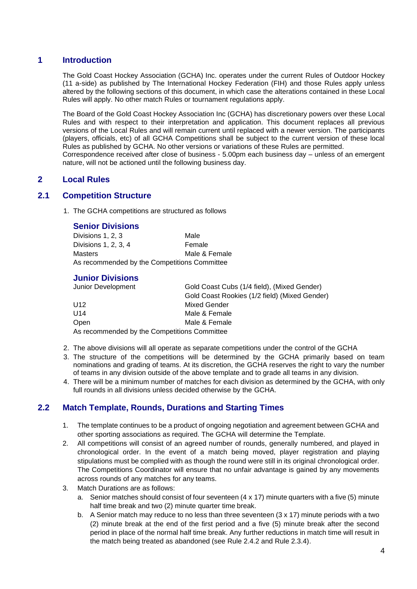### **1 Introduction**

The Gold Coast Hockey Association (GCHA) Inc. operates under the current Rules of Outdoor Hockey (11 a-side) as published by The International Hockey Federation (FIH) and those Rules apply unless altered by the following sections of this document, in which case the alterations contained in these Local Rules will apply. No other match Rules or tournament regulations apply.

The Board of the Gold Coast Hockey Association Inc (GCHA) has discretionary powers over these Local Rules and with respect to their interpretation and application. This document replaces all previous versions of the Local Rules and will remain current until replaced with a newer version. The participants (players, officials, etc) of all GCHA Competitions shall be subject to the current version of these local Rules as published by GCHA. No other versions or variations of these Rules are permitted. Correspondence received after close of business - 5.00pm each business day – unless of an emergent nature, will not be actioned until the following business day.

### <span id="page-3-1"></span>**2 Local Rules**

### <span id="page-3-2"></span><span id="page-3-0"></span>**2.1 Competition Structure**

1. The GCHA competitions are structured as follows

### **Senior Divisions**

| Divisions 1, 2, 3                            | Male          |
|----------------------------------------------|---------------|
| Divisions 1, 2, 3, 4                         | Female        |
| Masters                                      | Male & Female |
| As recommended by the Competitions Committee |               |

### **Junior Divisions**

<span id="page-3-3"></span>

| Junior Development                           | Gold Coast Cubs (1/4 field), (Mixed Gender)   |  |  |
|----------------------------------------------|-----------------------------------------------|--|--|
|                                              | Gold Coast Rookies (1/2 field) (Mixed Gender) |  |  |
| U <sub>12</sub>                              | <b>Mixed Gender</b>                           |  |  |
| U14                                          | Male & Female                                 |  |  |
| Open<br>Male & Female                        |                                               |  |  |
| As recommended by the Competitions Committee |                                               |  |  |

- 2. The above divisions will all operate as separate competitions under the control of the GCHA
- 3. The structure of the competitions will be determined by the GCHA primarily based on team nominations and grading of teams. At its discretion, the GCHA reserves the right to vary the number of teams in any division outside of the above template and to grade all teams in any division.
- 4. There will be a minimum number of matches for each division as determined by the GCHA, with only full rounds in all divisions unless decided otherwise by the GCHA.

### <span id="page-3-4"></span>**2.2 Match Template, Rounds, Durations and Starting Times**

- 1. The template continues to be a product of ongoing negotiation and agreement between GCHA and other sporting associations as required. The GCHA will determine the Template.
- 2. All competitions will consist of an agreed number of rounds, generally numbered, and played in chronological order. In the event of a match being moved, player registration and playing stipulations must be complied with as though the round were still in its original chronological order. The Competitions Coordinator will ensure that no unfair advantage is gained by any movements across rounds of any matches for any teams.
- 3. Match Durations are as follows:
	- a. Senior matches should consist of four seventeen (4 x 17) minute quarters with a five (5) minute half time break and two (2) minute quarter time break.
	- b. A Senior match may reduce to no less than three seventeen (3 x 17) minute periods with a two (2) minute break at the end of the first period and a five (5) minute break after the second period in place of the normal half time break. Any further reductions in match time will result in the match being treated as abandoned (see Rule 2.4.2 and Rule 2.3.4).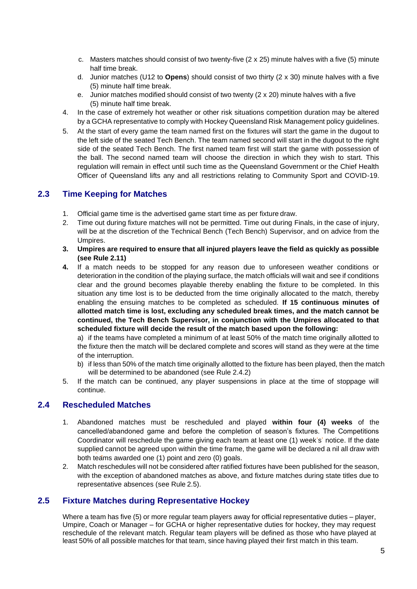- c. Masters matches should consist of two twenty-five (2 x 25) minute halves with a five (5) minute half time break.
- d. Junior matches (U12 to **Opens**) should consist of two thirty (2 x 30) minute halves with a five (5) minute half time break.
- e. Junior matches modified should consist of two twenty (2 x 20) minute halves with a five (5) minute half time break.
- 4. In the case of extremely hot weather or other risk situations competition duration may be altered by a GCHA representative to comply with Hockey Queensland Risk Management policy guidelines.
- 5. At the start of every game the team named first on the fixtures will start the game in the dugout to the left side of the seated Tech Bench. The team named second will start in the dugout to the right side of the seated Tech Bench. The first named team first will start the game with possession of the ball. The second named team will choose the direction in which they wish to start. This regulation will remain in effect until such time as the Queensland Government or the Chief Health Officer of Queensland lifts any and all restrictions relating to Community Sport and COVID-19.

### <span id="page-4-0"></span>**2.3 Time Keeping for Matches**

- 1. Official game time is the advertised game start time as per fixture draw.
- 2. Time out during fixture matches will not be permitted. Time out during Finals, in the case of injury, will be at the discretion of the Technical Bench (Tech Bench) Supervisor, and on advice from the Umpires.
- **3. Umpires are required to ensure that all injured players leave the field as quickly as possible (see Rule 2.11)**
- **4.** If a match needs to be stopped for any reason due to unforeseen weather conditions or deterioration in the condition of the playing surface, the match officials will wait and see if conditions clear and the ground becomes playable thereby enabling the fixture to be completed. In this situation any time lost is to be deducted from the time originally allocated to the match, thereby enabling the ensuing matches to be completed as scheduled. **If 15 continuous minutes of allotted match time is lost, excluding any scheduled break times, and the match cannot be continued, the Tech Bench Supervisor, in conjunction with the Umpires allocated to that scheduled fixture will decide the result of the match based upon the following:**

a) if the teams have completed a minimum of at least 50% of the match time originally allotted to the fixture then the match will be declared complete and scores will stand as they were at the time of the interruption.

- b) if less than 50% of the match time originally allotted to the fixture has been played, then the match will be determined to be abandoned (see Rule 2.4.2)
- 5. If the match can be continued, any player suspensions in place at the time of stoppage will continue.

### <span id="page-4-1"></span>**2.4 Rescheduled Matches**

- 1. Abandoned matches must be rescheduled and played **within four (4) weeks** of the cancelled/abandoned game and before the completion of season's fixtures. The Competitions Coordinator will reschedule the game giving each team at least one (1) week's' notice. If the date supplied cannot be agreed upon within the time frame, the game will be declared a nil all draw with both teams awarded one (1) point and zero (0) goals.
- 2. Match reschedules will not be considered after ratified fixtures have been published for the season, with the exception of abandoned matches as above, and fixture matches during state titles due to representative absences (see Rule 2.5).

### <span id="page-4-2"></span>**2.5 Fixture Matches during Representative Hockey**

Where a team has five (5) or more regular team players away for official representative duties – player, Umpire, Coach or Manager – for GCHA or higher representative duties for hockey, they may request reschedule of the relevant match. Regular team players will be defined as those who have played at least 50% of all possible matches for that team, since having played their first match in this team.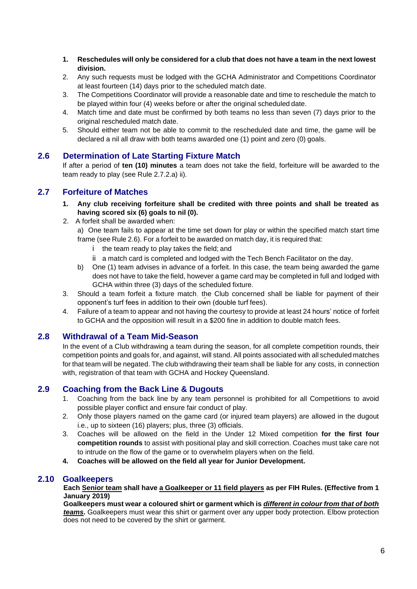- **1. Reschedules will only be considered for a club that does not have a team in the next lowest division.**
- 2. Any such requests must be lodged with the GCHA Administrator and Competitions Coordinator at least fourteen (14) days prior to the scheduled match date.
- 3. The Competitions Coordinator will provide a reasonable date and time to reschedule the match to be played within four (4) weeks before or after the original scheduled date.
- 4. Match time and date must be confirmed by both teams no less than seven (7) days prior to the original rescheduled match date.
- 5. Should either team not be able to commit to the rescheduled date and time, the game will be declared a nil all draw with both teams awarded one (1) point and zero (0) goals.

### <span id="page-5-0"></span>**2.6 Determination of Late Starting Fixture Match**

If after a period of **ten (10) minutes** a team does not take the field, forfeiture will be awarded to the team ready to play (see Rule 2.7.2.a) ii).

### <span id="page-5-1"></span>**2.7 Forfeiture of Matches**

- **1. Any club receiving forfeiture shall be credited with three points and shall be treated as having scored six (6) goals to nil (0).**
- 2. A forfeit shall be awarded when:

a) One team fails to appear at the time set down for play or within the specified match start time frame (see Rule 2.6). For a forfeit to be awarded on match day, it is required that:

- i the team ready to play takes the field; and
- ii a match card is completed and lodged with the Tech Bench Facilitator on the day.
- b) One (1) team advises in advance of a forfeit. In this case, the team being awarded the game does not have to take the field, however a game card may be completed in full and lodged with GCHA within three (3) days of the scheduled fixture.
- 3. Should a team forfeit a fixture match, the Club concerned shall be liable for payment of their opponent's turf fees in addition to their own (double turf fees).
- 4. Failure of a team to appear and not having the courtesy to provide at least 24 hours' notice of forfeit to GCHA and the opposition will result in a \$200 fine in addition to double match fees.

### <span id="page-5-2"></span>**2.8 Withdrawal of a Team Mid-Season**

In the event of a Club withdrawing a team during the season, for all complete competition rounds, their competition points and goals for, and against, will stand. All points associated with all scheduled matches for that team will be negated. The club withdrawing their team shall be liable for any costs, in connection with, registration of that team with GCHA and Hockey Queensland.

### <span id="page-5-3"></span>**2.9 Coaching from the Back Line & Dugouts**

- 1. Coaching from the back line by any team personnel is prohibited for all Competitions to avoid possible player conflict and ensure fair conduct of play.
- 2. Only those players named on the game card (or injured team players) are allowed in the dugout i.e., up to sixteen (16) players; plus, three (3) officials.
- 3. Coaches will be allowed on the field in the Under 12 Mixed competition **for the first four competition rounds** to assist with positional play and skill correction. Coaches must take care not to intrude on the flow of the game or to overwhelm players when on the field.
- **4. Coaches will be allowed on the field all year for Junior Development.**

### <span id="page-5-4"></span>**2.10 Goalkeepers**

**Each Senior team shall have a Goalkeeper or 11 field players as per FIH Rules. (Effective from 1 January 2019)**

**Goalkeepers must wear a coloured shirt or garment which is** *different in colour from that of both teams***.** Goalkeepers must wear this shirt or garment over any upper body protection. Elbow protection does not need to be covered by the shirt or garment.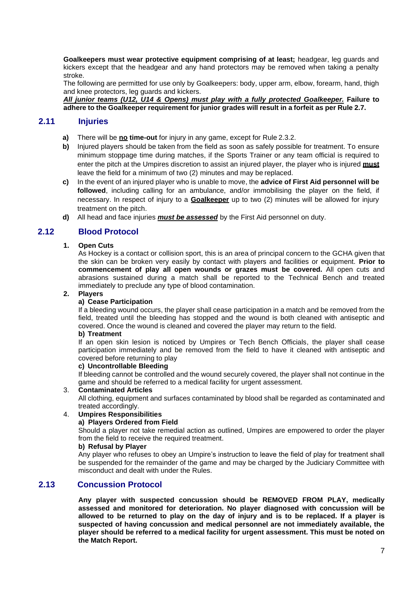**Goalkeepers must wear protective equipment comprising of at least;** headgear, leg guards and kickers except that the headgear and any hand protectors may be removed when taking a penalty stroke.

The following are permitted for use only by Goalkeepers: body, upper arm, elbow, forearm, hand, thigh and knee protectors, leg guards and kickers.

*All junior teams (U12, U14 & Opens) must play with a fully protected Goalkeeper.* **Failure to adhere to the Goalkeeper requirement for junior grades will result in a forfeit as per Rule 2.7.**

### <span id="page-6-0"></span>**2.11 Injuries**

- **a)** There will be **no time-out** for injury in any game, except for Rule 2.3.2.
- **b)** Injured players should be taken from the field as soon as safely possible for treatment. To ensure minimum stoppage time during matches, if the Sports Trainer or any team official is required to enter the pitch at the Umpires discretion to assist an injured player, the player who is injured **must** leave the field for a minimum of two (2) minutes and may be replaced.
- **c)** In the event of an injured player who is unable to move, the **advice of First Aid personnel will be followed**, including calling for an ambulance, and/or immobilising the player on the field, if necessary. In respect of injury to a **Goalkeeper** up to two (2) minutes will be allowed for injury treatment on the pitch.
- **d)** All head and face injuries *must be assessed* by the First Aid personnel on duty.

### **2.12 Blood Protocol**

### **1. Open Cuts**

As Hockey is a contact or collision sport, this is an area of principal concern to the GCHA given that the skin can be broken very easily by contact with players and facilities or equipment. **Prior to commencement of play all open wounds or grazes must be covered.** All open cuts and abrasions sustained during a match shall be reported to the Technical Bench and treated immediately to preclude any type of blood contamination.

### **2. Players**

### **a) Cease Participation**

If a bleeding wound occurs, the player shall cease participation in a match and be removed from the field, treated until the bleeding has stopped and the wound is both cleaned with antiseptic and covered. Once the wound is cleaned and covered the player may return to the field.

### **b) Treatment**

If an open skin lesion is noticed by Umpires or Tech Bench Officials, the player shall cease participation immediately and be removed from the field to have it cleaned with antiseptic and covered before returning to play

### **c) Uncontrollable Bleeding**

If bleeding cannot be controlled and the wound securely covered, the player shall not continue in the game and should be referred to a medical facility for urgent assessment.

3. **Contaminated Articles**

All clothing, equipment and surfaces contaminated by blood shall be regarded as contaminated and treated accordingly.

### 4. **Umpires Responsibilities**

### **a) Players Ordered from Field**

Should a player not take remedial action as outlined, Umpires are empowered to order the player from the field to receive the required treatment.

### **b) Refusal by Player**

Any player who refuses to obey an Umpire's instruction to leave the field of play for treatment shall be suspended for the remainder of the game and may be charged by the Judiciary Committee with misconduct and dealt with under the Rules.

### **2.13 Concussion Protocol**

**Any player with suspected concussion should be REMOVED FROM PLAY, medically assessed and monitored for deterioration. No player diagnosed with concussion will be allowed to be returned to play on the day of injury and is to be replaced. If a player is suspected of having concussion and medical personnel are not immediately available, the player should be referred to a medical facility for urgent assessment. This must be noted on the Match Report.**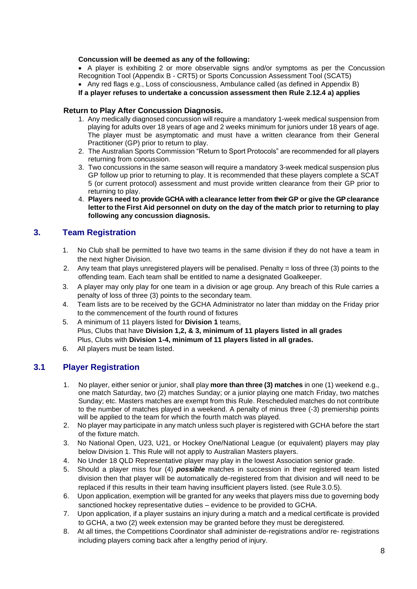### **Concussion will be deemed as any of the following:**

• A player is exhibiting 2 or more observable signs and/or symptoms as per the Concussion Recognition Tool (Appendix B - CRT5) or Sports Concussion Assessment Tool (SCAT5)

• Any red flags e.g., Loss of consciousness, Ambulance called (as defined in Appendix B)

### **If a player refuses to undertake a concussion assessment then Rule 2.12.4 a) applies**

### **Return to Play After Concussion Diagnosis.**

- 1. Any medically diagnosed concussion will require a mandatory 1-week medical suspension from playing for adults over 18 years of age and 2 weeks minimum for juniors under 18 years of age. The player must be asymptomatic and must have a written clearance from their General Practitioner (GP) prior to return to play.
- 2. The Australian Sports Commission "Return to Sport Protocols" are recommended for all players returning from concussion.
- 3. Two concussions in the same season will require a mandatory 3-week medical suspension plus GP follow up prior to returning to play. It is recommended that these players complete a SCAT 5 (or current protocol) assessment and must provide written clearance from their GP prior to returning to play.
- 4. **Players need to provide GCHA with a clearance letter from their GP or give the GP clearance letterto the First Aid personnel on duty on the day of the match prior to returning to play following any concussion diagnosis.**

### <span id="page-7-0"></span>**3. Team Registration**

- 1. No Club shall be permitted to have two teams in the same division if they do not have a team in the next higher Division.
- 2. Any team that plays unregistered players will be penalised. Penalty = loss of three (3) points to the offending team. Each team shall be entitled to name a designated Goalkeeper.
- 3. A player may only play for one team in a division or age group. Any breach of this Rule carries a penalty of loss of three (3) points to the secondary team.
- 4. Team lists are to be received by the GCHA Administrator no later than midday on the Friday prior to the commencement of the fourth round of fixtures
- 5. A minimum of 11 players listed for **Division 1** teams, Plus, Clubs that have **Division 1,2, & 3, minimum of 11 players listed in all grades** Plus, Clubs with **Division 1-4, minimum of 11 players listed in all grades.**
- 6. All players must be team listed.

### <span id="page-7-1"></span>**3.1 Player Registration**

- 1. No player, either senior or junior, shall play **more than three (3) matches** in one (1) weekend e.g., one match Saturday, two (2) matches Sunday; or a junior playing one match Friday, two matches Sunday; etc. Masters matches are exempt from this Rule. Rescheduled matches do not contribute to the number of matches played in a weekend. A penalty of minus three (-3) premiership points will be applied to the team for which the fourth match was played.
- 2. No player may participate in any match unless such player is registered with GCHA before the start of the fixture match.
- 3. No National Open, U23, U21, or Hockey One/National League (or equivalent) players may play below Division 1. This Rule will not apply to Australian Masters players.
- 4. No Under 18 QLD Representative player may play in the lowest Association senior grade.
- 5. Should a player miss four (4) *possible* matches in succession in their registered team listed division then that player will be automatically de-registered from that division and will need to be replaced if this results in their team having insufficient players listed. (see Rule 3.0.5).
- 6. Upon application, exemption will be granted for any weeks that players miss due to governing body sanctioned hockey representative duties – evidence to be provided to GCHA.
- 7. Upon application, if a player sustains an injury during a match and a medical certificate is provided to GCHA, a two (2) week extension may be granted before they must be deregistered.
- 8. At all times, the Competitions Coordinator shall administer de-registrations and/or re- registrations including players coming back after a lengthy period of injury.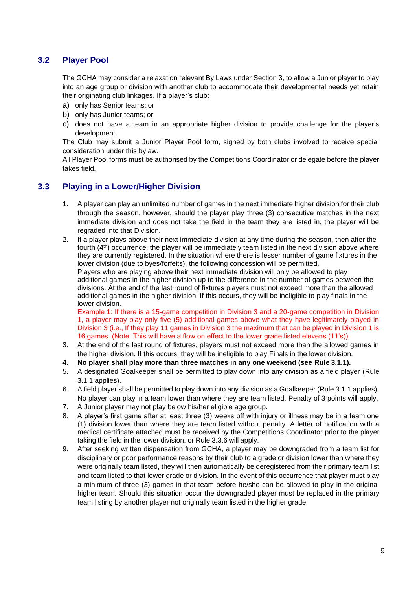### <span id="page-8-0"></span>**3.2 Player Pool**

The GCHA may consider a relaxation relevant By Laws under Section 3, to allow a Junior player to play into an age group or division with another club to accommodate their developmental needs yet retain their originating club linkages. If a player's club:

- a) only has Senior teams; or
- b) only has Junior teams; or
- c) does not have a team in an appropriate higher division to provide challenge for the player's development.

The Club may submit a Junior Player Pool form, signed by both clubs involved to receive special consideration under this bylaw.

All Player Pool forms must be authorised by the Competitions Coordinator or delegate before the player takes field.

### <span id="page-8-1"></span>**3.3 Playing in a Lower/Higher Division**

- 1. A player can play an unlimited number of games in the next immediate higher division for their club through the season, however, should the player play three (3) consecutive matches in the next immediate division and does not take the field in the team they are listed in, the player will be regraded into that Division.
- 2. If a player plays above their next immediate division at any time during the season, then after the fourth (4<sup>th</sup>) occurrence, the player will be immediately team listed in the next division above where they are currently registered. In the situation where there is lesser number of game fixtures in the lower division (due to byes/forfeits), the following concession will be permitted. Players who are playing above their next immediate division will only be allowed to play additional games in the higher division up to the difference in the number of games between the divisions. At the end of the last round of fixtures players must not exceed more than the allowed additional games in the higher division. If this occurs, they will be ineligible to play finals in the lower division.

Example 1: If there is a 15-game competition in Division 3 and a 20-game competition in Division 1, a player may play only five (5) additional games above what they have legitimately played in Division 3 (i.e., If they play 11 games in Division 3 the maximum that can be played in Division 1 is 16 games. (Note: This will have a flow on effect to the lower grade listed elevens (11's))

- 3. At the end of the last round of fixtures, players must not exceed more than the allowed games in the higher division. If this occurs, they will be ineligible to play Finals in the lower division.
- **4. No player shall play more than three matches in any one weekend (see Rule 3.1.1).**
- 5. A designated Goalkeeper shall be permitted to play down into any division as a field player (Rule 3.1.1 applies).
- 6. A field player shall be permitted to play down into any division as a Goalkeeper (Rule 3.1.1 applies). No player can play in a team lower than where they are team listed. Penalty of 3 points will apply.
- 7. A Junior player may not play below his/her eligible age group.
- 8. A player's first game after at least three (3) weeks off with injury or illness may be in a team one (1) division lower than where they are team listed without penalty. A letter of notification with a medical certificate attached must be received by the Competitions Coordinator prior to the player taking the field in the lower division, or Rule 3.3.6 will apply.
- 9. After seeking written dispensation from GCHA, a player may be downgraded from a team list for disciplinary or poor performance reasons by their club to a grade or division lower than where they were originally team listed, they will then automatically be deregistered from their primary team list and team listed to that lower grade or division. In the event of this occurrence that player must play a minimum of three (3) games in that team before he/she can be allowed to play in the original higher team. Should this situation occur the downgraded player must be replaced in the primary team listing by another player not originally team listed in the higher grade.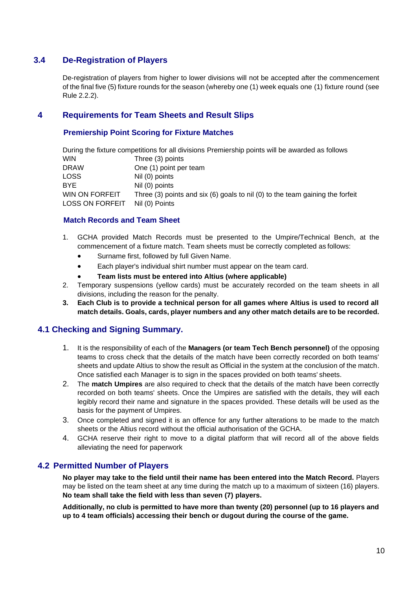### <span id="page-9-0"></span>**3.4 De-Registration of Players**

De-registration of players from higher to lower divisions will not be accepted after the commencement of the final five (5) fixture rounds for the season (whereby one (1) week equals one (1) fixture round (see Rule 2.2.2).

### <span id="page-9-1"></span>**4 Requirements for Team Sheets and Result Slips**

### **Premiership Point Scoring for Fixture Matches**

|                        | During the fixture competitions for all divisions Premiership points will be awarded as follows |
|------------------------|-------------------------------------------------------------------------------------------------|
| WIN.                   | Three (3) points                                                                                |
| DRAW                   | One (1) point per team                                                                          |
| LOSS                   | Nil (0) points                                                                                  |
| BYE.                   | Nil (0) points                                                                                  |
| WIN ON FORFEIT         | Three (3) points and six (6) goals to nil (0) to the team gaining the forfeit                   |
| <b>LOSS ON FORFEIT</b> | Nil (0) Points                                                                                  |

### **Match Records and Team Sheet**

- 1. GCHA provided Match Records must be presented to the Umpire/Technical Bench, at the commencement of a fixture match. Team sheets must be correctly completed as follows:
	- Surname first, followed by full Given Name.
	- Each player's individual shirt number must appear on the team card.
	- **Team lists must be entered into Altius (where applicable)**
- 2. Temporary suspensions (yellow cards) must be accurately recorded on the team sheets in all divisions, including the reason for the penalty.
- **3. Each Club is to provide a technical person for all games where Altius is used to record all match details. Goals, cards, player numbers and any other match details are to be recorded.**

### <span id="page-9-2"></span>**4.1 Checking and Signing Summary.**

- 1. It is the responsibility of each of the **Managers (or team Tech Bench personnel)** of the opposing teams to cross check that the details of the match have been correctly recorded on both teams' sheets and update Altius to show the result as Official in the system at the conclusion of the match. Once satisfied each Manager is to sign in the spaces provided on both teams' sheets.
- 2. The **match Umpires** are also required to check that the details of the match have been correctly recorded on both teams' sheets. Once the Umpires are satisfied with the details, they will each legibly record their name and signature in the spaces provided. These details will be used as the basis for the payment of Umpires.
- 3. Once completed and signed it is an offence for any further alterations to be made to the match sheets or the Altius record without the official authorisation of the GCHA.
- 4. GCHA reserve their right to move to a digital platform that will record all of the above fields alleviating the need for paperwork

### <span id="page-9-3"></span>**4.2 Permitted Number of Players**

**No player may take to the field until their name has been entered into the Match Record.** Players may be listed on the team sheet at any time during the match up to a maximum of sixteen (16) players. **No team shall take the field with less than seven (7) players.**

**Additionally, no club is permitted to have more than twenty (20) personnel (up to 16 players and up to 4 team officials) accessing their bench or dugout during the course of the game.**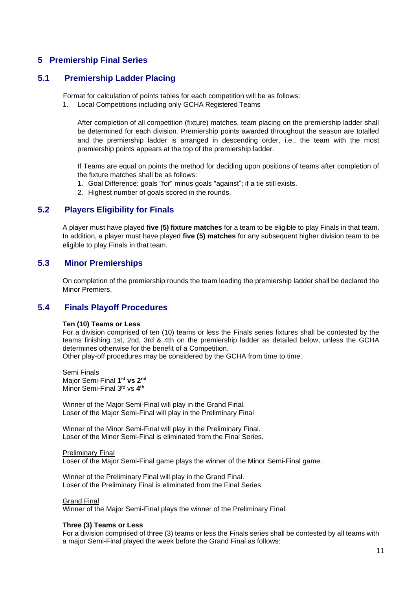### <span id="page-10-0"></span>**5 Premiership Final Series**

### **5.1 Premiership Ladder Placing**

Format for calculation of points tables for each competition will be as follows:

1. Local Competitions including only GCHA Registered Teams

After completion of all competition (fixture) matches, team placing on the premiership ladder shall be determined for each division. Premiership points awarded throughout the season are totalled and the premiership ladder is arranged in descending order, i.e., the team with the most premiership points appears at the top of the premiership ladder.

If Teams are equal on points the method for deciding upon positions of teams after completion of the fixture matches shall be as follows:

- 1. Goal Difference: goals "for" minus goals "against"; if a tie still exists.
- 2. Highest number of goals scored in the rounds.

### **5.2 Players Eligibility for Finals**

<span id="page-10-1"></span>A player must have played **five (5) fixture matches** for a team to be eligible to play Finals in that team. In addition, a player must have played **five (5) matches** for any subsequent higher division team to be eligible to play Finals in that team.

### **5.3 Minor Premierships**

<span id="page-10-2"></span>On completion of the premiership rounds the team leading the premiership ladder shall be declared the Minor Premiers.

### **5.4 Finals Playoff Procedures**

### <span id="page-10-3"></span>**Ten (10) Teams or Less**

For a division comprised of ten (10) teams or less the Finals series fixtures shall be contested by the teams finishing 1st, 2nd, 3rd & 4th on the premiership ladder as detailed below, unless the GCHA determines otherwise for the benefit of a Competition. Other play-off procedures may be considered by the GCHA from time to time.

Semi Finals Major Semi-Final **1 st vs 2 nd** Minor Semi-Final 3<sup>rd</sup> vs 4<sup>th</sup>

Winner of the Major Semi-Final will play in the Grand Final. Loser of the Major Semi-Final will play in the Preliminary Final

Winner of the Minor Semi-Final will play in the Preliminary Final. Loser of the Minor Semi-Final is eliminated from the Final Series.

### Preliminary Final

Loser of the Major Semi-Final game plays the winner of the Minor Semi-Final game.

Winner of the Preliminary Final will play in the Grand Final. Loser of the Preliminary Final is eliminated from the Final Series.

### Grand Final

Winner of the Major Semi-Final plays the winner of the Preliminary Final.

### **Three (3) Teams or Less**

For a division comprised of three (3) teams or less the Finals series shall be contested by all teams with a major Semi-Final played the week before the Grand Final as follows: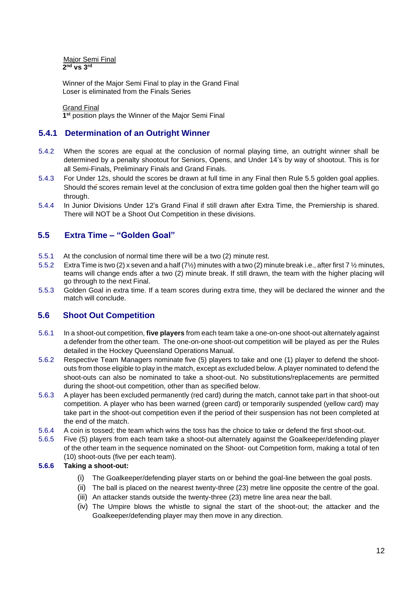Major Semi Final **2 nd vs 3rd**

Winner of the Major Semi Final to play in the Grand Final Loser is eliminated from the Finals Series

Grand Final

<span id="page-11-0"></span>**1 st** position plays the Winner of the Major Semi Final

### **5.4.1 Determination of an Outright Winner**

- 5.4.2 When the scores are equal at the conclusion of normal playing time, an outright winner shall be determined by a penalty shootout for Seniors, Opens, and Under 14's by way of shootout. This is for all Semi-Finals, Preliminary Finals and Grand Finals.
- 5.4.3 For Under 12s, should the scores be drawn at full time in any Final then Rule 5.5 golden goal applies. Should the scores remain level at the conclusion of extra time golden goal then the higher team will go through.
- 5.4.4 In Junior Divisions Under 12's Grand Final if still drawn after Extra Time, the Premiership is shared. There will NOT be a Shoot Out Competition in these divisions.

### <span id="page-11-1"></span>**5.5 Extra Time – "Golden Goal"**

- 5.5.1 At the conclusion of normal time there will be a two (2) minute rest.
- 5.5.2 Extra Time is two (2) x seven and a half (7½) minutes with a two (2) minute break i.e., after first 7 ½ minutes, teams will change ends after a two (2) minute break. If still drawn, the team with the higher placing will go through to the next Final.
- 5.5.3 Golden Goal in extra time. If a team scores during extra time, they will be declared the winner and the match will conclude.

### <span id="page-11-2"></span>**5.6 Shoot Out Competition**

- 5.6.1 In a shoot-out competition, **five players** from each team take a one-on-one shoot-out alternately against a defender from the other team. The one-on-one shoot-out competition will be played as per the Rules detailed in the Hockey Queensland Operations Manual.
- 5.6.2 Respective Team Managers nominate five (5) players to take and one (1) player to defend the shootouts from those eligible to play in the match, except as excluded below. A player nominated to defend the shoot-outs can also be nominated to take a shoot-out. No substitutions/replacements are permitted during the shoot-out competition, other than as specified below.
- 5.6.3 A player has been excluded permanently (red card) during the match, cannot take part in that shoot-out competition. A player who has been warned (green card) or temporarily suspended (yellow card) may take part in the shoot-out competition even if the period of their suspension has not been completed at the end of the match.
- 5.6.4 A coin is tossed; the team which wins the toss has the choice to take or defend the first shoot-out.
- 5.6.5 Five (5) players from each team take a shoot-out alternately against the Goalkeeper/defending player of the other team in the sequence nominated on the Shoot- out Competition form, making a total of ten (10) shoot-outs (five per each team).
- **5.6.6 Taking a shoot-out:**
	- (i) The Goalkeeper/defending player starts on or behind the goal-line between the goal posts.
	- (ii) The ball is placed on the nearest twenty-three (23) metre line opposite the centre of the goal.
	- (iii) An attacker stands outside the twenty-three (23) metre line area near the ball.
	- (iv) The Umpire blows the whistle to signal the start of the shoot-out; the attacker and the Goalkeeper/defending player may then move in any direction.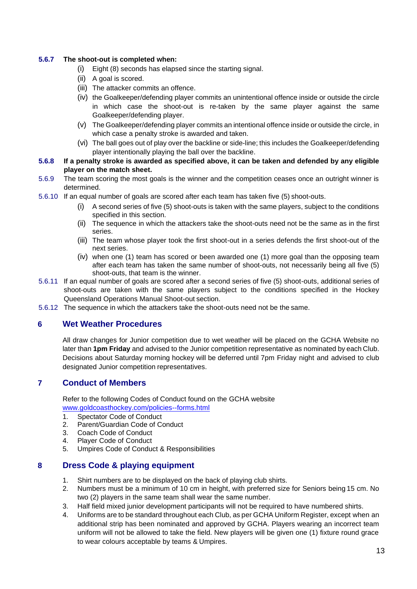### **5.6.7 The shoot-out is completed when:**

- (i) Eight (8) seconds has elapsed since the starting signal.
- (ii) A goal is scored.
- (iii) The attacker commits an offence.
- (iv) the Goalkeeper/defending player commits an unintentional offence inside or outside the circle in which case the shoot-out is re-taken by the same player against the same Goalkeeper/defending player.
- (v) The Goalkeeper/defending player commits an intentional offence inside or outside the circle, in which case a penalty stroke is awarded and taken.
- (vi) The ball goes out of play over the backline or side-line; this includes the Goalkeeper/defending player intentionally playing the ball over the backline.
- **5.6.8 If a penalty stroke is awarded as specified above, it can be taken and defended by any eligible player on the match sheet.**
- 5.6.9 The team scoring the most goals is the winner and the competition ceases once an outright winner is determined.
- 5.6.10 If an equal number of goals are scored after each team has taken five (5) shoot-outs.
	- (i) A second series of five (5) shoot-outs is taken with the same players, subject to the conditions specified in this section.
	- (ii) The sequence in which the attackers take the shoot-outs need not be the same as in the first series.
	- (iii) The team whose player took the first shoot-out in a series defends the first shoot-out of the next series.
	- (iv) when one (1) team has scored or been awarded one (1) more goal than the opposing team after each team has taken the same number of shoot-outs, not necessarily being all five (5) shoot-outs, that team is the winner.
- 5.6.11 If an equal number of goals are scored after a second series of five (5) shoot-outs, additional series of shoot-outs are taken with the same players subject to the conditions specified in the Hockey Queensland Operations Manual Shoot-out section.
- 5.6.12 The sequence in which the attackers take the shoot-outs need not be the same.

### <span id="page-12-0"></span>**6 Wet Weather Procedures**

All draw changes for Junior competition due to wet weather will be placed on the GCHA Website no later than **1pm Friday** and advised to the Junior competition representative as nominated by each Club. Decisions about Saturday morning hockey will be deferred until 7pm Friday night and advised to club designated Junior competition representatives.

### <span id="page-12-1"></span>**7 Conduct of Members**

Refer to the following Codes of Conduct found on the GCHA website [www.goldcoasthockey.com/policies--forms.html](http://www.goldcoasthockey.com/policies--forms.html)

- 1. Spectator Code of Conduct<br>2. Parent/Guardian Code of Co
- 2. Parent/Guardian Code of Conduct<br>3. Coach Code of Conduct
- Coach Code of Conduct
- 4. Player Code of Conduct
- 5. Umpires Code of Conduct & Responsibilities

### <span id="page-12-2"></span>**8 Dress Code & playing equipment**

- 1. Shirt numbers are to be displayed on the back of playing club shirts.
- 2. Numbers must be a minimum of 10 cm in height, with preferred size for Seniors being 15 cm. No two (2) players in the same team shall wear the same number.
- 3. Half field mixed junior development participants will not be required to have numbered shirts.
- 4. Uniforms are to be standard throughout each Club, as per GCHA Uniform Register, except when an additional strip has been nominated and approved by GCHA. Players wearing an incorrect team uniform will not be allowed to take the field. New players will be given one (1) fixture round grace to wear colours acceptable by teams & Umpires.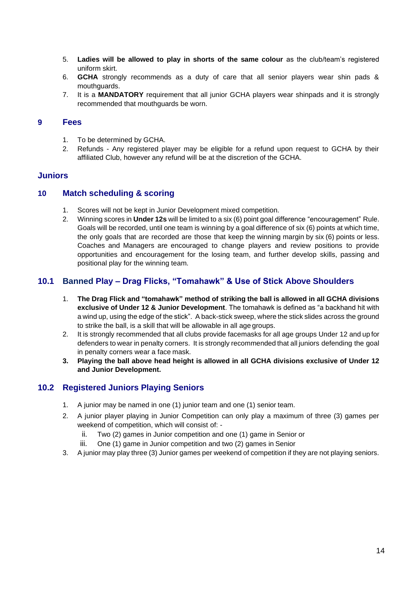- 5. **Ladies will be allowed to play in shorts of the same colour** as the club/team's registered uniform skirt.
- 6. **GCHA** strongly recommends as a duty of care that all senior players wear shin pads & mouthguards.
- 7. It is a **MANDATORY** requirement that all junior GCHA players wear shinpads and it is strongly recommended that mouthguards be worn.

### <span id="page-13-0"></span>**9 Fees**

- 1. To be determined by GCHA.
- 2. Refunds Any registered player may be eligible for a refund upon request to GCHA by their affiliated Club, however any refund will be at the discretion of the GCHA.

### <span id="page-13-1"></span>**Juniors**

### **10 Match scheduling & scoring**

- 1. Scores will not be kept in Junior Development mixed competition.
- 2. Winning scores in **Under 12s** will be limited to a six (6) point goal difference "encouragement" Rule. Goals will be recorded, until one team is winning by a goal difference of six (6) points at which time, the only goals that are recorded are those that keep the winning margin by six (6) points or less. Coaches and Managers are encouraged to change players and review positions to provide opportunities and encouragement for the losing team, and further develop skills, passing and positional play for the winning team.

### <span id="page-13-3"></span>**10.1 Banned Play – Drag Flicks, "Tomahawk" & Use of Stick Above Shoulders**

- 1. **The Drag Flick and "tomahawk" method of striking the ball is allowed in all GCHA divisions exclusive of Under 12 & Junior Development**. The tomahawk is defined as "a backhand hit with a wind up, using the edge of the stick". A back-stick sweep, where the stick slides across the ground to strike the ball, is a skill that will be allowable in all age groups.
- 2. It is strongly recommended that all clubs provide facemasks for all age groups Under 12 and up for defenders to wear in penalty corners. It is strongly recommended that all juniors defending the goal in penalty corners wear a face mask.
- **3. Playing the ball above head height is allowed in all GCHA divisions exclusive of Under 12 and Junior Development.**

### <span id="page-13-2"></span>**10.2 Registered Juniors Playing Seniors**

- 1. A junior may be named in one (1) junior team and one (1) senior team.
- 2. A junior player playing in Junior Competition can only play a maximum of three (3) games per weekend of competition, which will consist of:
	- ii. Two (2) games in Junior competition and one (1) game in Senior or
	- iii. One (1) game in Junior competition and two (2) games in Senior
- 3. A junior may play three (3) Junior games per weekend of competition if they are not playing seniors.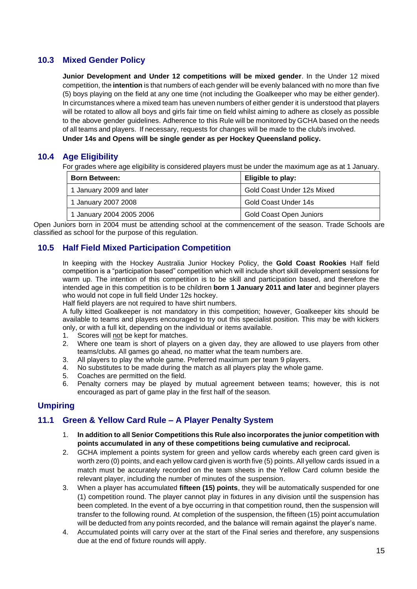### <span id="page-14-0"></span>**10.3 Mixed Gender Policy**

**Junior Development and Under 12 competitions will be mixed gender**. In the Under 12 mixed competition, the **intention** is that numbers of each gender will be evenly balanced with no more than five (5) boys playing on the field at any one time (not including the Goalkeeper who may be either gender). In circumstances where a mixed team has uneven numbers of either gender it is understood that players will be rotated to allow all boys and girls fair time on field whilst aiming to adhere as closely as possible to the above gender guidelines. Adherence to this Rule will be monitored by GCHA based on the needs of all teams and players. If necessary, requests for changes will be made to the club/s involved. **Under 14s and Opens will be single gender as per Hockey Queensland policy.**

### <span id="page-14-1"></span>**10.4 Age Eligibility**

For grades where age eligibility is considered players must be under the maximum age as at 1 January.

| <b>Born Between:</b>     | Eligible to play:              |
|--------------------------|--------------------------------|
| 1 January 2009 and later | Gold Coast Under 12s Mixed     |
| 1 January 2007 2008      | Gold Coast Under 14s           |
| 1 January 2004 2005 2006 | <b>Gold Coast Open Juniors</b> |

Open Juniors born in 2004 must be attending school at the commencement of the season. Trade Schools are classified as school for the purpose of this regulation.

### <span id="page-14-2"></span>**10.5 Half Field Mixed Participation Competition**

In keeping with the Hockey Australia Junior Hockey Policy, the **Gold Coast Rookies** Half field competition is a "participation based" competition which will include short skill development sessions for warm up. The intention of this competition is to be skill and participation based, and therefore the intended age in this competition is to be children **born 1 January 2011 and later** and beginner players who would not cope in full field Under 12s hockey.

Half field players are not required to have shirt numbers.

A fully kitted Goalkeeper is not mandatory in this competition; however, Goalkeeper kits should be available to teams and players encouraged to try out this specialist position. This may be with kickers only, or with a full kit, depending on the individual or items available.

- 1. Scores will not be kept for matches.
- 2. Where one team is short of players on a given day, they are allowed to use players from other teams/clubs. All games go ahead, no matter what the team numbers are.
- 3. All players to play the whole game. Preferred maximum per team 9 players.
- 4. No substitutes to be made during the match as all players play the whole game.
- 5. Coaches are permitted on the field.<br>6. Penalty corners may be plaved b
- 6. Penalty corners may be played by mutual agreement between teams; however, this is not encouraged as part of game play in the first half of the season.

### <span id="page-14-3"></span>**Umpiring**

### **11.1 Green & Yellow Card Rule – A Player Penalty System**

- 1. **In addition to all Senior Competitions this Rule also incorporates the junior competition with points accumulated in any of these competitions being cumulative and reciprocal.**
- 2. GCHA implement a points system for green and yellow cards whereby each green card given is worth zero (0) points, and each yellow card given is worth five (5) points. All yellow cards issued in a match must be accurately recorded on the team sheets in the Yellow Card column beside the relevant player, including the number of minutes of the suspension.
- 3. When a player has accumulated **fifteen (15) points**, they will be automatically suspended for one (1) competition round. The player cannot play in fixtures in any division until the suspension has been completed. In the event of a bye occurring in that competition round, then the suspension will transfer to the following round. At completion of the suspension, the fifteen (15) point accumulation will be deducted from any points recorded, and the balance will remain against the player's name.
- 4. Accumulated points will carry over at the start of the Final series and therefore, any suspensions due at the end of fixture rounds will apply.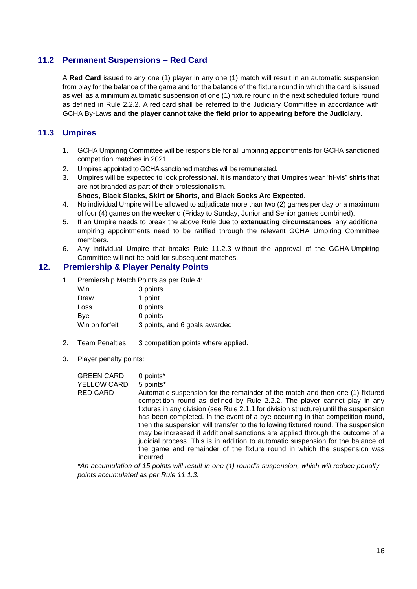### <span id="page-15-0"></span>**11.2 Permanent Suspensions – Red Card**

A **Red Card** issued to any one (1) player in any one (1) match will result in an automatic suspension from play for the balance of the game and for the balance of the fixture round in which the card is issued as well as a minimum automatic suspension of one (1) fixture round in the next scheduled fixture round as defined in Rule 2.2.2. A red card shall be referred to the Judiciary Committee in accordance with GCHA By-Laws **and the player cannot take the field prior to appearing before the Judiciary.**

### <span id="page-15-1"></span>**11.3 Umpires**

- 1. GCHA Umpiring Committee will be responsible for all umpiring appointments for GCHA sanctioned competition matches in 2021.
- 2. Umpires appointed to GCHA sanctioned matches will be remunerated.
- 3. Umpires will be expected to look professional. It is mandatory that Umpires wear "hi-vis" shirts that are not branded as part of their professionalism.

**Shoes, Black Slacks, Skirt or Shorts, and Black Socks Are Expected.**

- 4. No individual Umpire will be allowed to adjudicate more than two (2) games per day or a maximum of four (4) games on the weekend (Friday to Sunday, Junior and Senior games combined).
- 5. If an Umpire needs to break the above Rule due to **extenuating circumstances**, any additional umpiring appointments need to be ratified through the relevant GCHA Umpiring Committee members.
- 6. Any individual Umpire that breaks Rule 11.2.3 without the approval of the GCHA Umpiring Committee will not be paid for subsequent matches.

### **12. Premiership & Player Penalty Points**

<span id="page-15-2"></span>1. Premiership Match Points as per Rule 4:

| Win            | 3 points                      |
|----------------|-------------------------------|
| Draw           | 1 point                       |
| Loss           | 0 points                      |
| Bye            | 0 points                      |
| Win on forfeit | 3 points, and 6 goals awarded |

- 2. Team Penalties 3 competition points where applied.
- 3. Player penalty points:

| <b>GREEN CARD</b> | 0 points*                                                                                                                                                                                                                                                                                                                                                                                                                                                                                                                                                                                                                                                                               |
|-------------------|-----------------------------------------------------------------------------------------------------------------------------------------------------------------------------------------------------------------------------------------------------------------------------------------------------------------------------------------------------------------------------------------------------------------------------------------------------------------------------------------------------------------------------------------------------------------------------------------------------------------------------------------------------------------------------------------|
| YELLOW CARD       | 5 points*                                                                                                                                                                                                                                                                                                                                                                                                                                                                                                                                                                                                                                                                               |
| <b>RED CARD</b>   | Automatic suspension for the remainder of the match and then one (1) fixtured<br>competition round as defined by Rule 2.2.2. The player cannot play in any<br>fixtures in any division (see Rule 2.1.1 for division structure) until the suspension<br>has been completed. In the event of a bye occurring in that competition round,<br>then the suspension will transfer to the following fixtured round. The suspension<br>may be increased if additional sanctions are applied through the outcome of a<br>judicial process. This is in addition to automatic suspension for the balance of<br>the game and remainder of the fixture round in which the suspension was<br>incurred. |
|                   |                                                                                                                                                                                                                                                                                                                                                                                                                                                                                                                                                                                                                                                                                         |

*\*An accumulation of 15 points will result in one (1) round's suspension, which will reduce penalty points accumulated as per Rule 11.1.3.*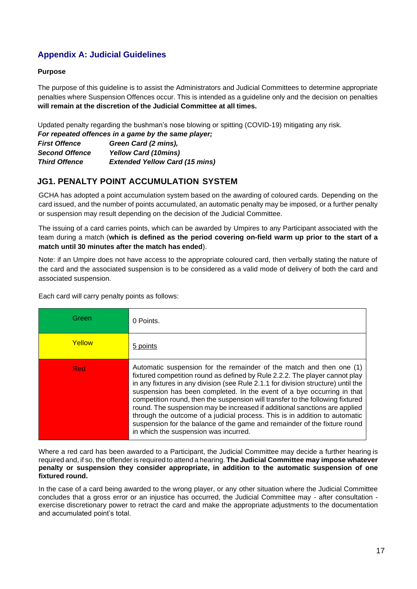### <span id="page-16-0"></span>**Appendix A: Judicial Guidelines**

### **Purpose**

The purpose of this guideline is to assist the Administrators and Judicial Committees to determine appropriate penalties where Suspension Offences occur. This is intended as a guideline only and the decision on penalties **will remain at the discretion of the Judicial Committee at all times.**

Updated penalty regarding the bushman's nose blowing or spitting (COVID-19) mitigating any risk.

*For repeated offences in a game by the same player;* 

| <b>First Offence</b>  | Green Card (2 mins),                  |
|-----------------------|---------------------------------------|
| <b>Second Offence</b> | <b>Yellow Card (10mins)</b>           |
| <b>Third Offence</b>  | <b>Extended Yellow Card (15 mins)</b> |

### **JG1. PENALTY POINT ACCUMULATION SYSTEM**

GCHA has adopted a point accumulation system based on the awarding of coloured cards. Depending on the card issued, and the number of points accumulated, an automatic penalty may be imposed, or a further penalty or suspension may result depending on the decision of the Judicial Committee.

The issuing of a card carries points, which can be awarded by Umpires to any Participant associated with the team during a match (**which is defined as the period covering on-field warm up prior to the start of a match until 30 minutes after the match has ended**).

Note: if an Umpire does not have access to the appropriate coloured card, then verbally stating the nature of the card and the associated suspension is to be considered as a valid mode of delivery of both the card and associated suspension.

Each card will carry penalty points as follows:

| Green      | 0 Points.                                                                                                                                                                                                                                                                                                                                                                                                                                                                                                                                                                                                                                                                               |
|------------|-----------------------------------------------------------------------------------------------------------------------------------------------------------------------------------------------------------------------------------------------------------------------------------------------------------------------------------------------------------------------------------------------------------------------------------------------------------------------------------------------------------------------------------------------------------------------------------------------------------------------------------------------------------------------------------------|
| Yellow     | 5 points                                                                                                                                                                                                                                                                                                                                                                                                                                                                                                                                                                                                                                                                                |
| <b>Red</b> | Automatic suspension for the remainder of the match and then one (1)<br>fixtured competition round as defined by Rule 2.2.2. The player cannot play<br>in any fixtures in any division (see Rule 2.1.1 for division structure) until the<br>suspension has been completed. In the event of a bye occurring in that<br>competition round, then the suspension will transfer to the following fixtured<br>round. The suspension may be increased if additional sanctions are applied<br>through the outcome of a judicial process. This is in addition to automatic<br>suspension for the balance of the game and remainder of the fixture round<br>in which the suspension was incurred. |

Where a red card has been awarded to a Participant, the Judicial Committee may decide a further hearing is required and, if so, the offender is required to attend a hearing. **The Judicial Committee may impose whatever penalty or suspension they consider appropriate, in addition to the automatic suspension of one fixtured round.**

In the case of a card being awarded to the wrong player, or any other situation where the Judicial Committee concludes that a gross error or an injustice has occurred, the Judicial Committee may - after consultation exercise discretionary power to retract the card and make the appropriate adjustments to the documentation and accumulated point's total.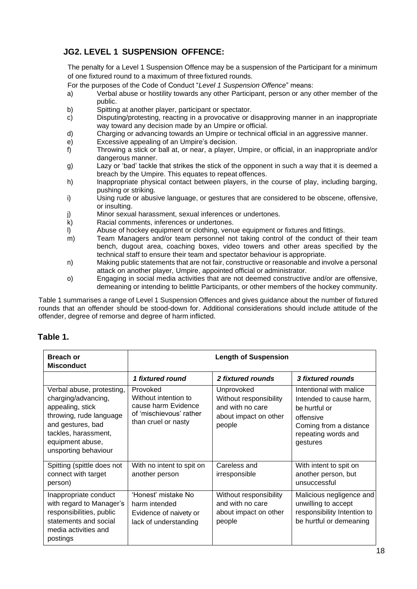### **JG2. LEVEL 1 SUSPENSION OFFENCE:**

The penalty for a Level 1 Suspension Offence may be a suspension of the Participant for a minimum of one fixtured round to a maximum of three fixtured rounds.

- For the purposes of the Code of Conduct "*Level 1 Suspension Offence*" means:
- a) Verbal abuse or hostility towards any other Participant, person or any other member of the public.
- b) Spitting at another player, participant or spectator.
- c) Disputing/protesting, reacting in a provocative or disapproving manner in an inappropriate way toward any decision made by an Umpire or official.
- d) Charging or advancing towards an Umpire or technical official in an aggressive manner.
- e) Excessive appealing of an Umpire's decision.<br>
f) Throwing a stick or ball at, or near, a player,
- f) Throwing a stick or ball at, or near, a player, Umpire, or official, in an inappropriate and/or dangerous manner.
- g) Lazy or 'bad' tackle that strikes the stick of the opponent in such a way that it is deemed a breach by the Umpire. This equates to repeat offences.
- h) Inappropriate physical contact between players, in the course of play, including barging, pushing or striking.
- i) Using rude or abusive language, or gestures that are considered to be obscene, offensive, or insulting.
- j) Minor sexual harassment, sexual inferences or undertones.<br>
k) Racial comments, inferences or undertones.
- Racial comments, inferences or undertones.
- l) Abuse of hockey equipment or clothing, venue equipment or fixtures and fittings.
- m) Team Managers and/or team personnel not taking control of the conduct of their team bench, dugout area, coaching boxes, video towers and other areas specified by the technical staff to ensure their team and spectator behaviour is appropriate.
- n) Making public statements that are not fair, constructive or reasonable and involve a personal attack on another player, Umpire, appointed official or administrator.
- o) Engaging in social media activities that are not deemed constructive and/or are offensive, demeaning or intending to belittle Participants, or other members of the hockey community.

Table 1 summarises a range of Level 1 Suspension Offences and gives guidance about the number of fixtured rounds that an offender should be stood-down for. Additional considerations should include attitude of the offender, degree of remorse and degree of harm inflicted.

### <span id="page-17-0"></span>**Table 1.**

| <b>Breach or</b><br><b>Misconduct</b>                                                                                                                                                    | <b>Length of Suspension</b>                                                                               |                                                                                             |                                                                                                                                               |  |
|------------------------------------------------------------------------------------------------------------------------------------------------------------------------------------------|-----------------------------------------------------------------------------------------------------------|---------------------------------------------------------------------------------------------|-----------------------------------------------------------------------------------------------------------------------------------------------|--|
|                                                                                                                                                                                          | 1 fixtured round                                                                                          | 2 fixtured rounds                                                                           | 3 fixtured rounds                                                                                                                             |  |
| Verbal abuse, protesting,<br>charging/advancing,<br>appealing, stick<br>throwing, rude language<br>and gestures, bad<br>tackles, harassment,<br>equipment abuse,<br>unsporting behaviour | Provoked<br>Without intention to<br>cause harm Evidence<br>of 'mischievous' rather<br>than cruel or nasty | Unprovoked<br>Without responsibility<br>and with no care<br>about impact on other<br>people | Intentional with malice<br>Intended to cause harm,<br>be hurtful or<br>offensive<br>Coming from a distance<br>repeating words and<br>gestures |  |
| Spitting (spittle does not<br>connect with target<br>person)                                                                                                                             | With no intent to spit on<br>another person                                                               | Careless and<br>irresponsible                                                               | With intent to spit on<br>another person, but<br>unsuccessful                                                                                 |  |
| Inappropriate conduct<br>with regard to Manager's<br>responsibilities, public<br>statements and social<br>media activities and<br>postings                                               | 'Honest' mistake No<br>harm intended<br>Evidence of naivety or<br>lack of understanding                   | Without responsibility<br>and with no care<br>about impact on other<br>people               | Malicious negligence and<br>unwilling to accept<br>responsibility Intention to<br>be hurtful or demeaning                                     |  |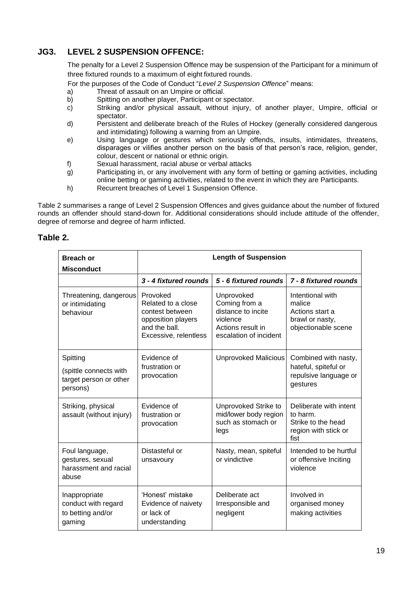### **JG3. LEVEL 2 SUSPENSION OFFENCE:**

The penalty for a Level 2 Suspension Offence may be suspension of the Participant for a minimum of three fixtured rounds to a maximum of eight fixtured rounds.

For the purposes of the Code of Conduct "*Level 2 Suspension Offence*" means:

- a) Threat of assault on an Umpire or official.<br>b) Spitting on another player, Participant or s
- Spitting on another player, Participant or spectator.
- c) Striking and/or physical assault, without injury, of another player, Umpire, official or spectator.
- d) Persistent and deliberate breach of the Rules of Hockey (generally considered dangerous and intimidating) following a warning from an Umpire.
- e) Using language or gestures which seriously offends, insults, intimidates, threatens, disparages or vilifies another person on the basis of that person's race, religion, gender, colour, descent or national or ethnic origin.
- f) Sexual harassment, racial abuse or verbal attacks
- g) Participating in, or any involvement with any form of betting or gaming activities, including online betting or gaming activities, related to the event in which they are Participants.
- h) Recurrent breaches of Level 1 Suspension Offence.

Table 2 summarises a range of Level 2 Suspension Offences and gives guidance about the number of fixtured rounds an offender should stand-down for. Additional considerations should include attitude of the offender, degree of remorse and degree of harm inflicted.

### <span id="page-18-0"></span>**Table 2.**

| <b>Breach or</b><br><b>Misconduct</b>                                | <b>Length of Suspension</b>                                                                                       |                                                                                                              |                                                                                          |  |
|----------------------------------------------------------------------|-------------------------------------------------------------------------------------------------------------------|--------------------------------------------------------------------------------------------------------------|------------------------------------------------------------------------------------------|--|
|                                                                      | 3 - 4 fixtured rounds                                                                                             | 5 - 6 fixtured rounds                                                                                        | 7 - 8 fixtured rounds                                                                    |  |
| Threatening, dangerous<br>or intimidating<br>behaviour               | Provoked<br>Related to a close<br>contest between<br>opposition players<br>and the ball.<br>Excessive, relentless | Unprovoked<br>Coming from a<br>distance to incite<br>violence<br>Actions result in<br>escalation of incident | Intentional with<br>malice<br>Actions start a<br>brawl or nasty,<br>objectionable scene  |  |
| Spitting                                                             | Evidence of                                                                                                       | <b>Unprovoked Malicious</b>                                                                                  | Combined with nasty,                                                                     |  |
| (spittle connects with<br>target person or other<br>persons)         | frustration or<br>provocation                                                                                     |                                                                                                              | hateful, spiteful or<br>repulsive language or<br>gestures                                |  |
| Striking, physical<br>assault (without injury)                       | Evidence of<br>frustration or<br>provocation                                                                      | Unprovoked Strike to<br>mid/lower body region<br>such as stomach or<br>legs                                  | Deliberate with intent<br>to harm.<br>Strike to the head<br>region with stick or<br>fist |  |
| Foul language,<br>gestures, sexual<br>harassment and racial<br>abuse | Distasteful or<br>unsavoury                                                                                       | Nasty, mean, spiteful<br>or vindictive                                                                       | Intended to be hurtful<br>or offensive Inciting<br>violence                              |  |
| Inappropriate<br>conduct with regard<br>to betting and/or<br>gaming  | 'Honest' mistake<br>Evidence of naivety<br>or lack of<br>understanding                                            | Deliberate act<br>Irresponsible and<br>negligent                                                             | Involved in<br>organised money<br>making activities                                      |  |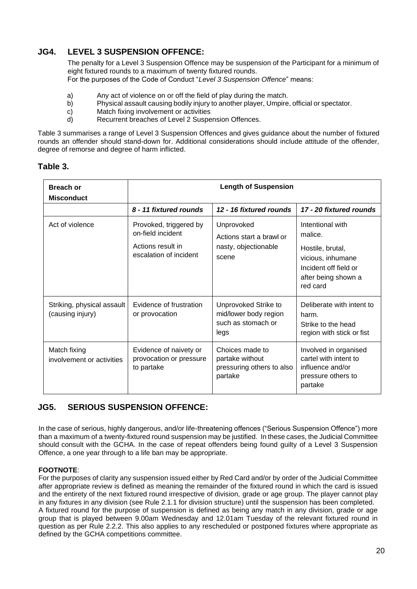### **JG4. LEVEL 3 SUSPENSION OFFENCE:**

The penalty for a Level 3 Suspension Offence may be suspension of the Participant for a minimum of eight fixtured rounds to a maximum of twenty fixtured rounds. For the purposes of the Code of Conduct "*Level 3 Suspension Offence*" means:

- a) Any act of violence on or off the field of play during the match.<br>b) Physical assault causing bodily injury to another player, Umpire
- Physical assault causing bodily injury to another player, Umpire, official or spectator.
- c) Match fixing involvement or activities
- d) Recurrent breaches of Level 2 Suspension Offences.

Table 3 summarises a range of Level 3 Suspension Offences and gives guidance about the number of fixtured rounds an offender should stand-down for. Additional considerations should include attitude of the offender, degree of remorse and degree of harm inflicted.

### <span id="page-19-0"></span>**Table 3.**

| <b>Breach or</b><br><b>Misconduct</b>          | <b>Length of Suspension</b>                                                                |                                                                             |                                                                                                                                  |
|------------------------------------------------|--------------------------------------------------------------------------------------------|-----------------------------------------------------------------------------|----------------------------------------------------------------------------------------------------------------------------------|
|                                                | 8 - 11 fixtured rounds                                                                     | 12 - 16 fixtured rounds                                                     | 17 - 20 fixtured rounds                                                                                                          |
| Act of violence                                | Provoked, triggered by<br>on-field incident<br>Actions result in<br>escalation of incident | Unprovoked<br>Actions start a brawl or<br>nasty, objectionable<br>scene     | Intentional with<br>malice.<br>Hostile, brutal,<br>vicious, inhumane<br>Incident off field or<br>after being shown a<br>red card |
| Striking, physical assault<br>(causing injury) | Evidence of frustration<br>or provocation                                                  | Unprovoked Strike to<br>mid/lower body region<br>such as stomach or<br>legs | Deliberate with intent to<br>harm.<br>Strike to the head<br>region with stick or fist                                            |
| Match fixing<br>involvement or activities      | Evidence of naivety or<br>provocation or pressure<br>to partake                            | Choices made to<br>partake without<br>pressuring others to also<br>partake  | Involved in organised<br>cartel with intent to<br>influence and/or<br>pressure others to<br>partake                              |

### **JG5. SERIOUS SUSPENSION OFFENCE:**

In the case of serious, highly dangerous, and/or life-threatening offences ("Serious Suspension Offence") more than a maximum of a twenty-fixtured round suspension may be justified. In these cases, the Judicial Committee should consult with the GCHA. In the case of repeat offenders being found guilty of a Level 3 Suspension Offence, a one year through to a life ban may be appropriate.

### **FOOTNOTE**:

For the purposes of clarity any suspension issued either by Red Card and/or by order of the Judicial Committee after appropriate review is defined as meaning the remainder of the fixtured round in which the card is issued and the entirety of the next fixtured round irrespective of division, grade or age group. The player cannot play in any fixtures in any division (see Rule 2.1.1 for division structure) until the suspension has been completed. A fixtured round for the purpose of suspension is defined as being any match in any division, grade or age group that is played between 9.00am Wednesday and 12.01am Tuesday of the relevant fixtured round in question as per Rule 2.2.2. This also applies to any rescheduled or postponed fixtures where appropriate as defined by the GCHA competitions committee.